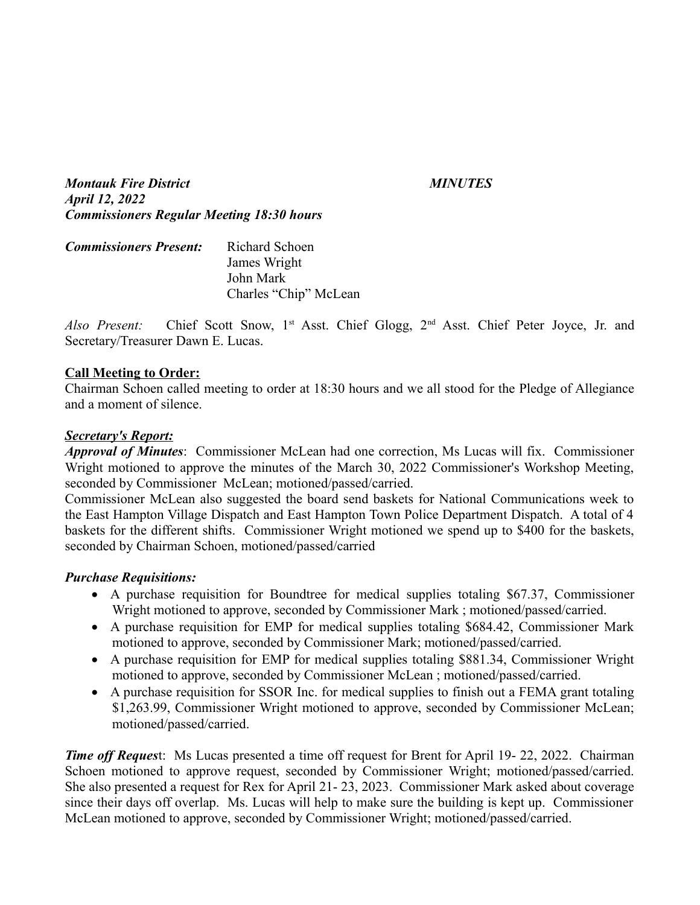*Montauk Fire District MINUTES April 12, 2022 Commissioners Regular Meeting 18:30 hours*

| <b>Commissioners Present:</b> | Richard Schoen        |
|-------------------------------|-----------------------|
|                               | James Wright          |
|                               | John Mark             |
|                               | Charles "Chip" McLean |

Also Present: Chief Scott Snow, 1<sup>st</sup> Asst. Chief Glogg, 2<sup>nd</sup> Asst. Chief Peter Joyce, Jr. and Secretary/Treasurer Dawn E. Lucas.

#### **Call Meeting to Order:**

Chairman Schoen called meeting to order at 18:30 hours and we all stood for the Pledge of Allegiance and a moment of silence.

#### *Secretary's Report:*

*Approval of Minutes*: Commissioner McLean had one correction, Ms Lucas will fix. Commissioner Wright motioned to approve the minutes of the March 30, 2022 Commissioner's Workshop Meeting, seconded by Commissioner McLean; motioned/passed/carried.

Commissioner McLean also suggested the board send baskets for National Communications week to the East Hampton Village Dispatch and East Hampton Town Police Department Dispatch. A total of 4 baskets for the different shifts. Commissioner Wright motioned we spend up to \$400 for the baskets, seconded by Chairman Schoen, motioned/passed/carried

#### *Purchase Requisitions:*

- A purchase requisition for Boundtree for medical supplies totaling \$67.37, Commissioner Wright motioned to approve, seconded by Commissioner Mark ; motioned/passed/carried.
- A purchase requisition for EMP for medical supplies totaling \$684.42, Commissioner Mark motioned to approve, seconded by Commissioner Mark; motioned/passed/carried.
- A purchase requisition for EMP for medical supplies totaling \$881.34, Commissioner Wright motioned to approve, seconded by Commissioner McLean ; motioned/passed/carried.
- A purchase requisition for SSOR Inc. for medical supplies to finish out a FEMA grant totaling \$1,263.99, Commissioner Wright motioned to approve, seconded by Commissioner McLean; motioned/passed/carried.

*Time off Request:* Ms Lucas presented a time off request for Brent for April 19-22, 2022. Chairman Schoen motioned to approve request, seconded by Commissioner Wright; motioned/passed/carried. She also presented a request for Rex for April 21- 23, 2023. Commissioner Mark asked about coverage since their days off overlap. Ms. Lucas will help to make sure the building is kept up. Commissioner McLean motioned to approve, seconded by Commissioner Wright; motioned/passed/carried.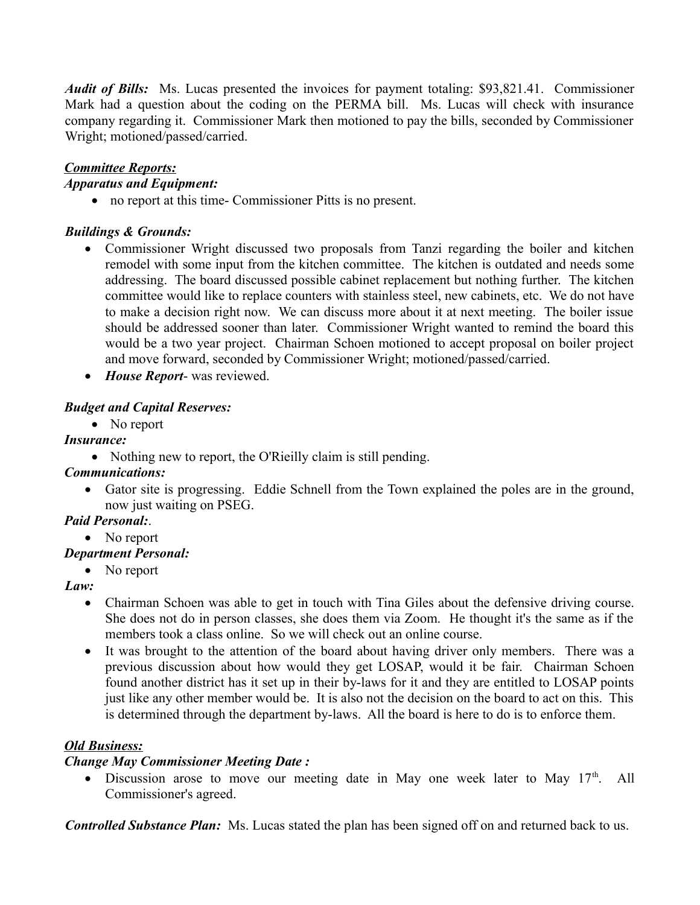*Audit of Bills:* Ms. Lucas presented the invoices for payment totaling: \$93,821.41. Commissioner Mark had a question about the coding on the PERMA bill. Ms. Lucas will check with insurance company regarding it. Commissioner Mark then motioned to pay the bills, seconded by Commissioner Wright; motioned/passed/carried.

### *Committee Reports: Apparatus and Equipment:*

no report at this time- Commissioner Pitts is no present.

# *Buildings & Grounds:*

- Commissioner Wright discussed two proposals from Tanzi regarding the boiler and kitchen remodel with some input from the kitchen committee. The kitchen is outdated and needs some addressing. The board discussed possible cabinet replacement but nothing further. The kitchen committee would like to replace counters with stainless steel, new cabinets, etc. We do not have to make a decision right now. We can discuss more about it at next meeting. The boiler issue should be addressed sooner than later. Commissioner Wright wanted to remind the board this would be a two year project. Chairman Schoen motioned to accept proposal on boiler project and move forward, seconded by Commissioner Wright; motioned/passed/carried.
- *House Report* was reviewed.

# *Budget and Capital Reserves:*

• No report

## *Insurance:*

• Nothing new to report, the O'Rieilly claim is still pending.

## *Communications:*

 Gator site is progressing.Eddie Schnell from the Town explained the poles are in the ground, now just waiting on PSEG.

# *Paid Personal:*.

• No report

# *Department Personal:*

• No report

## *Law:*

- Chairman Schoen was able to get in touch with Tina Giles about the defensive driving course. She does not do in person classes, she does them via Zoom. He thought it's the same as if the members took a class online. So we will check out an online course.
- It was brought to the attention of the board about having driver only members. There was a previous discussion about how would they get LOSAP, would it be fair. Chairman Schoen found another district has it set up in their by-laws for it and they are entitled to LOSAP points just like any other member would be. It is also not the decision on the board to act on this. This is determined through the department by-laws. All the board is here to do is to enforce them.

# *Old Business:*

## *Change May Commissioner Meeting Date :*

 $\bullet$  Discussion arose to move our meeting date in May one week later to May 17<sup>th</sup>. All Commissioner's agreed.

*Controlled Substance Plan:* Ms. Lucas stated the plan has been signed off on and returned back to us.